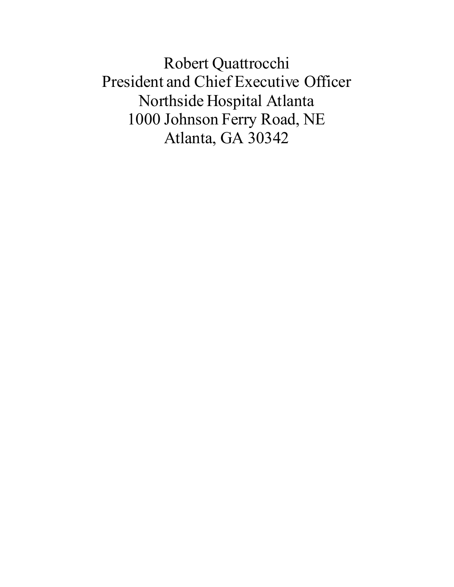Robert Quattrocchi President and Chief Executive Officer Northside Hospital Atlanta 1000 Johnson Ferry Road, NE Atlanta, GA 30342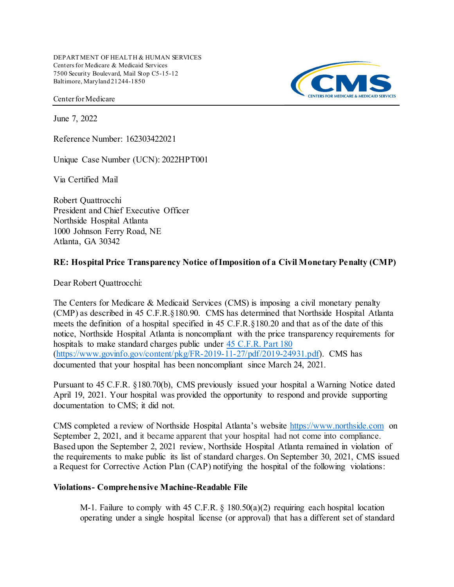DEPART MENT OF HEALTH & HUMAN SERVICES Centers for Medicare & Medicaid Services 7500 Security Boulevard, Mail Stop C5-15-12 Baltimore, Maryland 21244-1850

Center for Medicare

June 7, 2022

Reference Number: 162303422021

Unique Case Number (UCN): 2022HPT001

Via Certified Mail

 President and Chief Executive Officer Northside Hospital Atlanta 1000 Johnson Ferry Road, NE Atlanta, GA 30342 Robert Quattrocchi

#### RE: Hospital Price Transparency Notice of Imposition of a Civil Monetary Penalty (CMP)

Dear Robert Quattrocchi:

 The Centers for Medicare & Medicaid Services (CMS) is imposing a civil monetary penalty (CMP) as described in 45 [C.F.R.§180.90.](https://C.F.R.�180.90) CMS has determined that Northside Hospital Atlanta meets the definition of a hospital specified in 45 [C.F.R.§180.20](https://C.F.R.�180.20) and that as of the date of this notice, Northside Hospital Atlanta is noncompliant with the price transparency requirements for hospitals to make standard charges public under 45 C.F.R. Part 180 (<https://www.govinfo.gov/content/pkg/FR-2019-11-27/pdf/2019-24931.pdf>). CMS has documented that your hospital has been noncompliant since March 24, 2021.

 Pursuant to 45 C.F.R. §180.70(b), CMS previously issued your hospital a Warning Notice dated April 19, 2021. Your hospital was provided the opportunity to respond and provide supporting documentation to CMS; it did not.

CMS completed a review of Northside Hospital Atlanta's website <https://www.northside.com> on September 2, 2021, and it became apparent that your hospital had not come into compliance. Based upon the September 2, 2021 review, Northside Hospital Atlanta remained in violation of the requirements to make public its list of standard charges. On September 30, 2021, CMS issued a Request for Corrective Action Plan (CAP) notifying the hospital of the following violations:

#### Violations- Comprehensive Machine-Readable File

 M-1. Failure to comply with 45 C.F.R. § 180.50(a)(2) requiring each hospital location operating under a single hospital license (or approval) that has a different set of standard

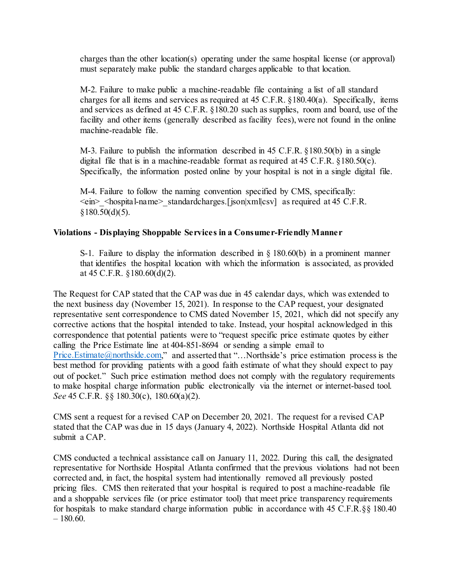charges than the other location(s) operating under the same hospital license (or approval) must separately make public the standard charges applicable to that location.

 M-2. Failure to make public a machine-readable file containing a list of all standard charges for all items and services as required at 45 C.F.R. §180.40(a). Specifically, items and services as defined at 45 C.F.R. §180.20 such as supplies, room and board, use of the facility and other items (generally described as facility fees), were not found in the online machine-readable file.

 M-3. Failure to publish the information described in 45 C.F.R. §180.50(b) in a single digital file that is in a machine-readable format as required at 45 C.F.R. §180.50(c). Specifically, the information posted online by your hospital is not in a single digital file.

 M-4. Failure to follow the naming convention specified by CMS, specifically: <ein>\_<hospital-name>\_standardcharges.[json|xml|csv] as required at 45 C.F.R.  $$180.50(d)(5)$ .

# Violations - Displaying Shoppable Services in a Consumer-Friendly Manner

 S-1. Failure to display the information described in § 180.60(b) in a prominent manner that identifies the hospital location with which the information is associated, as provided at 45 C.F.R. §180.60(d)(2).

 The Request for CAP stated that the CAP was due in 45 calendar days, which was extended to the next business day (November 15, 2021). In response to the CAP request, your designated representative sent correspondence to CMS dated November 15, 2021, which did not specify any corrective actions that the hospital intended to take. Instead, your hospital acknowledged in this correspondence that potential patients were to "request specific price estimate quotes by either calling the Price Estimate line at 404-851-8694 or sending a simple email to [Price.Estimate@northside.com,](mailto:Price.Estimate@northside.com)" and asserted that "...Northside's price estimation process is the best method for providing patients with a good faith estimate of what they should expect to pay out of pocket." Such price estimation method does not comply with the regulatory requirements to make hospital charge information public electronically via the internet or internet-based tool. See 45 C.F.R. §§ 180.30(c), 180.60(a)(2).

 CMS sent a request for a revised CAP on December 20, 2021. The request for a revised CAP stated that the CAP was due in 15 days (January 4, 2022). Northside Hospital Atlanta did not submit a CAP.

 CMS conducted a technical assistance call on January 11, 2022. During this call, the designated representative for Northside Hospital Atlanta confirmed that the previous violations had not been corrected and, in fact, the hospital system had intentionally removed all previously posted pricing files. CMS then reiterated that your hospital is required to post a machine-readable file and a shoppable services file (or price estimator tool) that meet price transparency requirements for hospitals to make standard charge information public in accordance with 45 C.F.R.§§ 180.40  $-180.60.$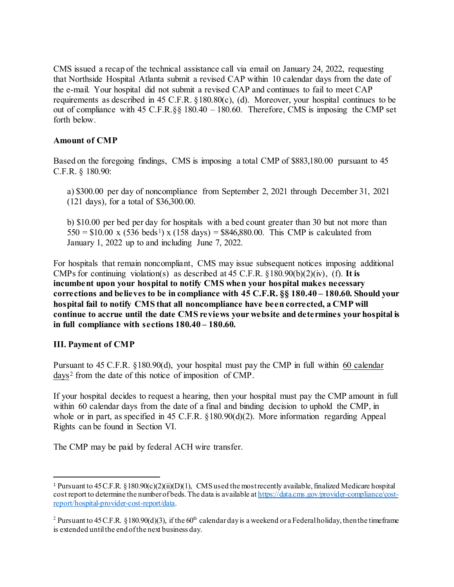CMS issued a recap of the technical assistance call via email on January 24, 2022, requesting that Northside Hospital Atlanta submit a revised CAP within 10 calendar days from the date of the e-mail. Your hospital did not submit a revised CAP and continues to fail to meet CAP requirements as described in 45 C.F.R. §180.80(c), (d). Moreover, your hospital continues to be forth below. out of compliance with 45 C.F.R.§§ 180.40 – 180.60. Therefore, CMS is imposing the CMP set

### Amount of CMP

 Based on the foregoing findings, CMS is imposing a total CMP of [\\$883,180.00](https://883,180.00) pursuant to 45 C.F.R. § 180.90:

 a) \$300.00 per day of noncompliance from September 2, 2021 through December 31, 2021 (121 days), for a total of [\\$36,300.00.](https://36,300.00)

 b) \$10.00 per bed per day for hospitals with a bed count greater than 30 but not more than  $550 = $10.00 \times (536 \text{ beds}^1) \times (158 \text{ days}) = $846,880.00$ . This CMP is calculated from January 1, 2022 up to and including June 7, 2022.

 For hospitals that remain noncompliant, CMS may issue subsequent notices imposing additional CMPs for continuing violation(s) as described at 45 C.F.R.  $\S 180.90(b)(2)(iv)$ , (f). It is incumbent upon your hospital to notify CMS when your hospital makes necessary corrections and believes to be in compliance with 45 C.F.R. §§ 180.40 – 180.60. Should your hospital fail to notify CMS that all noncompliance have been corrected, a CMP will continue to accrue until the date CMS reviews your website and determines your hospital is in full compliance with [sections 180.40](https://sections180.40) – 180.60.

# III. Payment of CMP

Pursuant to 45 C.F.R. §180.90(d), your hospital must pay the CMP in full within 60 calendar days<sup>2</sup> from the date of this notice of imposition of CMP.

 If your hospital decides to request a hearing, then your hospital must pay the CMP amount in full within 60 calendar days from the date of a final and binding decision to uphold the CMP, in whole or in part, as specified in 45 C.F.R. §180.90(d)(2). More information regarding Appeal Rights can be found in Section VI.

The CMP may be paid by federal ACH wire transfer.

<sup>&</sup>lt;sup>1</sup> Pursuant to 45 C.F.R. §180.90(c)(2)(ii)(D)(1), CMS used the most recently available, finalized Medicare hospital cost report to determine the number of beds. The data is available at <https://data.cms.gov/provider-compliance/cost>report/hospital-provider-cost-report/data.

<sup>&</sup>lt;sup>2</sup> Pursuant to 45 C.F.R. §180.90(d)(3), if the 60<sup>th</sup> calendar day is a weekend or a Federal holiday, then the timeframe is extended untilthe endof the next business day.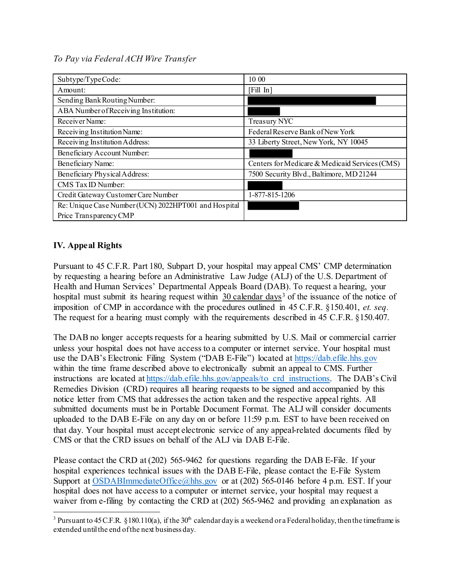# To Pay via Federal ACH Wire Transfer

| Subtype/TypeCode:                                    | 10 00                                          |
|------------------------------------------------------|------------------------------------------------|
| Amount:                                              | [Fill In]                                      |
| Sending Bank Routing Number:                         |                                                |
| ABA Number of Receiving Institution:                 |                                                |
| Receiver Name:                                       | Treasury NYC                                   |
| Receiving Institution Name:                          | Federal Reserve Bank of New York               |
| Receiving Institution Address:                       | 33 Liberty Street, New York, NY 10045          |
| Beneficiary Account Number:                          |                                                |
| Beneficiary Name:                                    | Centers for Medicare & Medicaid Services (CMS) |
| Beneficiary Physical Address:                        | 7500 Security Blvd., Baltimore, MD 21244       |
| CMS Tax ID Number:                                   |                                                |
| Credit Gateway Customer Care Number                  | 1-877-815-1206                                 |
| Re: Unique Case Number (UCN) 2022HPT001 and Hospital |                                                |
| Price Transparency CMP                               |                                                |

# IV. Appeal Rights

 Pursuant to 45 C.F.R. Part 180, Subpart D, your hospital may appeal CMS' CMP determination by requesting a hearing before an Administrative Law Judge (ALJ) of the U.S. Department of Health and Human Services' Departmental Appeals Board (DAB). To request a hearing, your hospital must submit its hearing request within  $30$  calendar days<sup>3</sup> of the issuance of the notice of imposition of CMP in accordance with the procedures outlined in 45 C.F.R. §150.401, et. seq. The request for a hearing must comply with the requirements described in 45 C.F.R. §150.407.

 The DAB no longer accepts requests for a hearing submitted by U.S. Mail or commercial carrier unless your hospital does not have access to a computer or internet service. Your hospital must use the DAB's Electronic Filing System ("DAB E-File") located at <https://dab.efile.hhs.gov> within the time frame described above to electronically submit an appeal to CMS. Further instructions are located at [https://dab.efile.hhs.gov/appeals/to\\_crd\\_instructions.](https://dab.efile.hhs.gov/appeals/to_crd_instructions) The DAB's Civil Remedies Division (CRD) requires all hearing requests to be signed and accompanied by this notice letter from CMS that addresses the action taken and the respective appeal rights. All submitted documents must be in Portable Document Format. The ALJ will consider documents uploaded to the DAB E-File on any day on or before 11:59 p.m. EST to have been received on that day. Your hospital must accept electronic service of any appeal-related documents filed by CMS or that the CRD issues on behalf of the ALJ via DAB E-File.

 Please contact the CRD at (202) 565-9462 for questions regarding the DAB E-File. If your hospital experiences technical issues with the DAB E-File, please contact the E-File System Support at [OSDABImmediateOffice@hhs.gov](mailto:OSDABImmediateOffice@hhs.gov) or at (202) 565-0146 before 4 p.m. EST. If your hospital does not have access to a computer or internet service, your hospital may request a waiver from e-filing by contacting the CRD at (202) 565-9462 and providing an explanation as

<sup>&</sup>lt;sup>3</sup> Pursuant to 45 C.F.R. §180.110(a), if the 30<sup>th</sup> calendar day is a weekend or a Federal holiday, then the timeframe is extended untilthe end of the next business day.